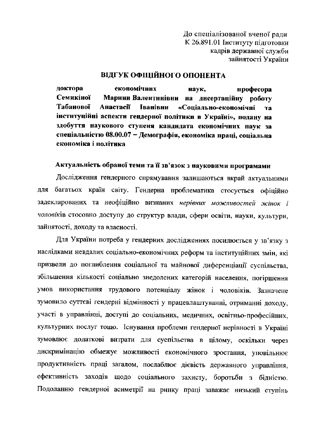До спеціалізованої вченої ради К 26.891.01 Інституту підготовки кадрів державної служби зайнятості України

## ВІДГУК ОФІЦІЙНОГО ОПОНЕНТА

доктора економічних наук, професора Семикіної Марини Валентинівни на дисертаційну роботу **Табанової Анастасії Іванівни** «Соціально-економічні та інституційні аспекти гендерної політики в Україні», подану на здобуття наукового ступеня кандидата економічних наук за спеціальністю 08.00.07 - Демографія, економіка праці, соціальна економіка і політика

# Актуальність обраної теми та її зв'язок з науковими програмами

Дослідження гендерного спрямування залишаються вкрай актуальними для багатьох країн світу. Гендерна проблематика стосується офіційно задекларованих та неофіційно визнаних нерівних можливостей жінок і чоловіків стосовно доступу до структур влади, сфери освіти, науки, культури, зайнятості, доходу та власності.

Для України потреба у гендерних дослідженнях посилюється у зв'язку з наслідками невдалих соціально-економічних реформ та інституційних змін, які призвели до поглиблення соціальної та майнової диференціації суспільства, збільшення кількості соціально знедолених категорій населення, погіршення умов використання трудового потенціалу жінок і чоловіків. Зазначене зумовило суттєві гендерні відмінності у працевлаштуванні, отриманні доходу, участі в управлінні, доступі до соціальних, медичних, освітньо-професійних, культурних послуг тощо. Існування проблеми гендерної нерівності в Україні зумовлює додаткові витрати для суспільства в цілому, оскільки через дискримінацію обмежує можливості економічного зростання, уповільнює продуктивність праці загалом, послаблює дієвість державного управління, ефективність заходів щодо соціального захисту, боротьби з бідністю. Подоланню гендерної асиметрії на ринку праці заважає низький ступінь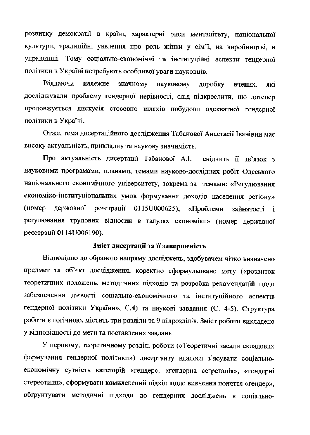розвитку демократії в країні, характерні риси менталітету, національної культури, традиційні уявлення про роль жінки у сім'ї, на виробництві, в управлінні. Тому соціально-економічні та інституційні аспекти гендерної політики в Україні потребують особливої уваги науковців.

Віддаючи належне значному науковому доробку які вчених. досліджували проблему гендерної нерівності, слід підкреслити, що дотепер продовжується дискусія стосовно шляхів побудови адекватної гендерної політики в Україні.

Отже, тема дисертаційного дослідження Табанової Анастасії Іванівни має високу актуальність, прикладну та наукову значимість.

Про актуальність дисертації Табанової А.І. свідчить її зв'язок з науковими програмами, планами, темами науково-дослідних робіт Одеського національного економічного університету, зокрема за темами: «Регулювання економіко-інституціональних умов формування доходів населення регіону» реєстрації 0115U000625); (номер державної «Проблеми зайнятості  $\mathbf{i}$ регулювання трудових відносин в галузях економіки» (номер державної реєстрації 0114U006190).

#### Зміст дисертації та її завершеність

Відповідно до обраного напряму досліджень, здобувачем чітко визначено предмет та об'єкт дослідження, коректно сформульовано мету («розвиток теоретичних положень, методичних підходів та розробка рекомендацій щодо забезпечення дієвості соціально-економічного та інституційного аспектів гендерної політики України», С.4) та наукові завдання (С. 4-5). Структура роботи є логічною, містить три розділи та 9 підрозділів. Зміст роботи викладено у відповідності до мети та поставлених завдань.

У першому, теоретичному розділі роботи («Теоретичні засади складових формування гендерної політики») дисертанту вдалося з'ясувати соціальноекономічну сутність категорій «гендер», «гендерна сегрегація», «гендерні стереотипи», сформувати комплексний підхід щодо вивчення поняття «гендер», обгрунтувати методичні підходи до гендерних досліджень в соціально-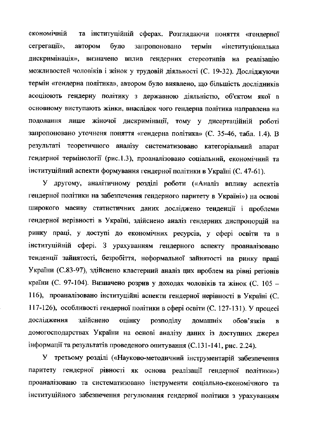та інституційній сферах. Розглядаючи поняття «гендерної економічній сегрегації», автором було запропоновано термін «інституціональна дискримінація», визначено вплив гендерних стереотипів на реалізацію можливостей чоловіків і жінок у трудовій діяльності (С. 19-32). Досліджуючи термін «гендерна політика», автором було виявлено, що більшість дослідників асоціюють гендерну політику з державною діяльністю, об'єктом якої в основному виступають жінки, внаслідок чого гендерна політика направлена на подолання лише жіночої дискримінації, тому у дисертаційній роботі запропоновано уточненя поняття «гендерна політика» (С. 35-46, табл. 1.4). В результаті теоретичного аналізу систематизовано категоріальний апарат гендерної термінології (рис.1.3), проаналізовано соціальний, економічний та інституційний аспекти формування гендерної політики в Україні (С. 47-61).

У другому, аналітичному розділі роботи («Аналіз впливу аспектів гендерної політики на забезпечення гендерного паритету в Україні») на основі широкого масиву статистичних даних досліджено тенденції і проблеми гендерної нерівності в Україні, здійснено аналіз гендерних диспропорцій на ринку праці, у доступі до економічних ресурсів, у сфері освіти та в інституційній сфері. З урахуванням гендерного аспекту проаналізовано тенденції зайнятості, безробіття, неформальної зайнятості на ринку праці України (С.83-97), здійснено кластерний аналіз цих проблем на рівні регіонів країни (С. 97-104). Визначено розрив у доходах чоловіків та жінок (С. 105 -116), проаналізовано інституційні аспекти гендерної нерівності в Україні (С. 117-126), особливості гендерної політики в сфері освіти (С. 127-131). У процесі дослідження здійснено оцінку розподілу домашніх обов'язків  $\overline{\mathbf{B}}$ домогосподарствах України на основі аналізу даних із доступних джерел інформації та результатів проведеного опитування (С.131-141, рис. 2.24).

У третьому розділі («Науково-методичний інструментарій забезпечення паритету гендерної рівності як основа реалізації гендерної політики») проаналізовано та систематизовано інструменти соціально-економічного та інституційного забезпечення регулювання гендерної політики з урахуванням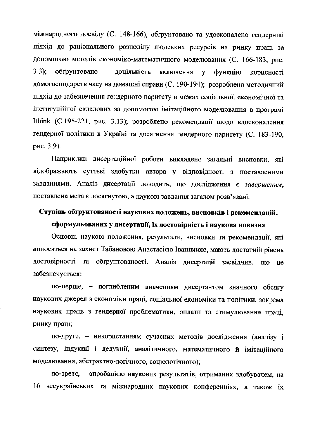міжнародного досвіду (С. 148-166), обтрунтовано та удосконалено гендерний підхід до раціонального розподілу людських ресурсів на ринку праці за допомогою методів економіко-математичного моделювання (С. 166-183, рис.  $3.3);$ обґрунтовано доцільність включення y. **функцію** корисності домогосподарств часу на домашні справи (С. 190-194); розроблено методичний підхід до забезпечення гендерного паритету в межах соціальної, економічної та інституційної складових за допомогою імітаційного моделювання в програмі Ithink (С.195-221, рис. 3.13); розроблено рекомендації щодо вдосконалення гендерної політики в Україні та досягнення гендерного паритету (С. 183-190, рис. 3.9).

Наприкінці дисертаційної роботи викладено загальні висновки, які відображають суттєві здобутки автора у відповідності з поставленими завданнями. Аналіз дисертації доводить, що дослідження є завершеним, поставлена мета є досягнутою, а наукові завдання загалом розв'язані.

## Ступінь обгрунтованості наукових положень, висновків і рекомендацій,

## сформульованих у дисертації, їх достовірність і наукова новизна

Основні наукові положення, результати, висновки та рекомендації, які виносяться на захист Табановою Анастасією Іванівною, мають достатній рівень достовірності та обґрунтованості. Аналіз дисертації засвідчив, що **L**e забезпечується:

по-перше, - поглибленим вивченням дисертантом значного обсягу наукових джерел з економіки праці, соціальної економіки та політики, зокрема наукових праць з гендерної проблематики, оплати та стимулювання праці, ринку праці;

по-друге, - використанням сучасних методів дослідження (аналізу і синтезу, індукції і дедукції, аналітичного, математичного й імітаційного моделювання, абстрактно-логічного, соціологічного);

по-третє, - апробацією наукових результатів, отриманих здобувачем, на 16 всеукраїнських та міжнародних наукових конференціях, а також їх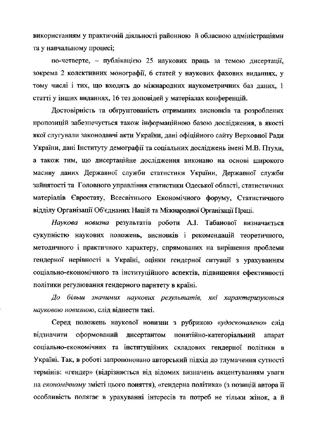використанням у практичній діяльності районною й обласною адміністраціями та у навчальному процесі;

по-четверте, - публікацією 25 наукових праць за темою дисертації. зокрема 2 колективних монографії, 6 статей у наукових фахових виданнях, у тому числі і тих, що входять до міжнародних наукометричних баз даних, 1 статті у інших виданнях, 16 тез доповідей у матеріалах конференцій.

Достовірність та обгрунтованість отриманих висновків та розроблених пропозицій забезпечується також інформаційною базою дослідження, в якості якої слугували законодавчі акти України, дані офіційного сайту Верховної Ради України, дані Інституту демографії та соціальних досліджень імені М.В. Птухи, а також тим, що дисертаційне дослідження виконано на основі широкого масиву даних Державної служби статистики України, Державної служби зайнятості та Головного управління статистики Одеської області, статистичних матеріалів Євростату, Всесвітнього Економічного форуму, Статистичного відділу Організації Об'єднаних Націй та Міжнародної Організації Праці.

Наукова новизна результатів роботи А.І. Табанової визначається сукупністю наукових положень, висновків і рекомендацій теоретичного, методичного і практичного характеру, спрямованих на вирішення проблеми гендерної нерівності в Україні, оцінки гендерної ситуації з урахуванням соціально-економічного та інституційного аспектів, підвищення ефективності політики регулювання гендерного паритету в країні.

До більш значимих наукових результатів, які характеризуються науковою новизною, слід віднести такі.

Серед положень наукової новизни з рубрикою «удосконалено» слід понятійно-категоріальний відзначити сформований дисертантом апарат соціально-економічних та інституційних складових гендерної політики в Україні. Так, в роботі запропоновано авторський підхід до тлумачення сутності термінів: «гендер» (відрізняється від відомих визначень акцентуванням уваги на економічному змісті цього поняття), «гендерна політика» (з позицій автора її особливість полягає в урахуванні інтересів та потреб не тільки жінок, а й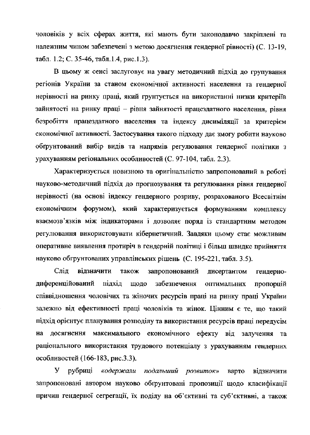чоловіків у всіх сферах життя, які мають бути законодавчо закріплені та належним чином забезпечені з метою досягнення гендерної рівності) (С. 13-19, табл. 1.2; С. 35-46, табл. 1.4, рис. 1.3).

В цьому ж сенсі заслуговує на увагу методичний підхід до групування регіонів України за станом економічної активності населення та гендерної нерівності на ринку праці, який грунтується на використанні низки критеріїв зайнятості на ринку праці - рівня зайнятості працездатного населення, рівня безробіття працездатного населення та індексу дисиміляції за критерієм економічної активності. Застосування такого підходу дає змогу робити науково обгрунтований вибір видів та напрямів регулювання гендерної політики з урахуванням регіональних особливостей (С. 97-104, табл. 2.3).

Характеризується новизною та оригінальністю запропонований в роботі науково-методичний підхід до прогнозування та регулювання рівня гендерної нерівності (на основі індексу гендерного розриву, розрахованого Всесвітнім економічним форумом), який характеризується формуванням комплексу взаємозв'язків між індикаторами і дозволяє поряд із стандартним методом регулювання використовувати кібернетичний. Завдяки цьому стає можливим оперативне виявлення протиріч в гендерній політиці і більш швидке прийняття науково обгрунтованих управлінських рішень (С. 195-221, табл. 3.5).

Слід вілзначити також запропонований дисертантом гендернодиференційований підхід ШОДО забезпечення оптимальних пропорцій співвідношення чоловічих та жіночих ресурсів праці на ринку праці України залежно від ефективності праці чоловіків та жінок. Цінним є те, що такий підхід орієнтує планування розподілу та використання ресурсів праці передусім на досягнення максимального економічного ефекту від залучення та раціонального використання трудового потенціалу з урахуванням гендерних особливостей (166-183, рис.3.3).

У рубриці «одержали подальший розвиток» варто відзначити запропоновані автором науково обґрунтовані пропозиції щодо класифікації причин гендерної сегрегації, їх поділу на об'єктивні та суб'єктивні, а також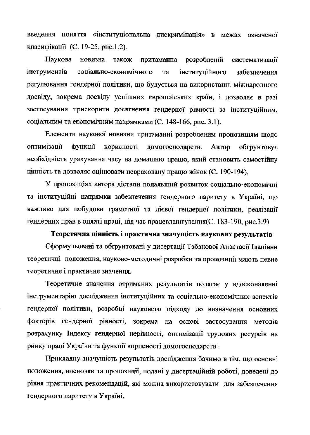введення поняття «інституціональна дискримінація» в межах означеної класифікації (С. 19-25, рис.1.2).

Наукова новизна притаманна розробленій також систематизації інструментів соціально-економічного інституційного Ta забезпечення регулювання гендерної політики, що будується на використанні міжнародного досвіду, зокрема досвіду успішних європейських країн, і дозволяє в разі застосування прискорити досягнення гендерної рівності за інституційним, соціальним та економічним напрямками (С. 148-166, рис. 3.1).

Елементи наукової новизни притаманні розробленим пропозиціям щодо оптимізації корисності домогосподарств. **функції** Автор обгрунтовує необхідність урахування часу на домашню працю, який становить самостійну цінність та дозволяє оцінювати невраховану працю жінок (С. 190-194).

У пропозиціях автора дістали подальший розвиток соціально-економічні та інституційні напрямки забезпечення гендерного паритету в Україні, що важливо для побудови грамотної та дієвої гендерної політики, реалізації гендерних прав в оплаті праці, під час працевлаштування (С. 183-190, рис.3.9)

### Теоретична цінність і практична значущість наукових результатів

Сформульовані та обґрунтовані у дисертації Табанової Анастасії Іванівни теоретичні положення, науково-методичні розробки та пропозиції мають певне теоретичне і практичне значення.

Теоретичне значення отриманих результатів полягає у вдосконаленні інструментарію дослідження інституційних та соціально-економічних аспектів гендерної політики, розробці наукового підходу до визначення основних факторів гендерної рівності, зокрема на основі застосування методів розрахунку Індексу гендерної нерівності, оптимізації трудових ресурсів на ринку праці України та функції корисності домогосподарств.

Прикладну значущість результатів дослідження бачимо в тім, що основні положення, висновки та пропозиції, подані у дисертаційній роботі, доведені до рівня практичних рекомендацій, які можна використовувати для забезпечення гендерного паритету в Україні.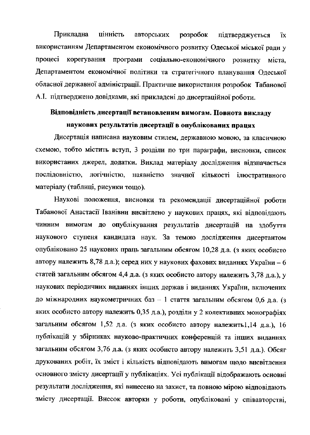Прикладна цінність авторських розробок підтверджується ïх. використанням Департаментом економічного розвитку Одеської міської ради у процесі корегування програми соціально-економічного розвитку міста. Департаментом економічної політики та стратегічного планування Одеської обласної державної адміністрації. Практичне використання розробок Табанової А.І. підтверджено довідками, які прикладені до дисертаційної роботи.

# Відповідність дисертації встановленим вимогам. Повнота викладу наукових результатів дисертації в опублікованих працях

Дисертація написана науковим стилем, державною мовою, за класичною схемою, тобто містить вступ, 3 розділи по три параграфи, висновки, список використаних джерел, додатки. Виклад матеріалу дослідження відзначається послідовністю, логічністю, наявністю значної кількості ілюстративного матеріалу (таблиці, рисунки тощо).

Наукові положення, висновки та рекомендації дисертаційної роботи Табанової Анастасії Іванівни висвітлено у наукових працях, які відповідають чинним вимогам до опублікування результатів дисертацій на здобуття наукового ступеня кандидата наук. За темою дослідження дисертантом опубліковано 25 наукових праць загальним обсягом 10,28 д.а. (з яких особисто автору належить 8,78 д.а.); серед них у наукових фахових виданнях України – 6 статей загальним обсягом 4,4 д.а. (з яких особисто автору належить 3,78 д.а.), у наукових періодичних виданнях інших держав і виданнях України, включених до міжнародних наукометричних баз - 1 стаття загальним обсягом 0,6 д.а. (з яких особисто автору належить 0,35 д.а.), розділи у 2 колективних монографіях загальним обсягом 1,52 д.а. (з яких особисто автору належить1,14 д.а.), 16 публікацій у збірниках науково-практичних конференцій та інших виданнях загальним обсягом 3,76 д.а. (з яких особисто автору належить 3,51 д.а.). Обсяг друкованих робіт, їх зміст і кількість відповідають вимогам щодо висвітлення основного змісту дисертації у публікаціях. Усі публікації відображають основні результати дослідження, які винесено на захист, та повною мірою відповідають змісту дисертації. Внесок авторки у роботи, опубліковані у співавторстві,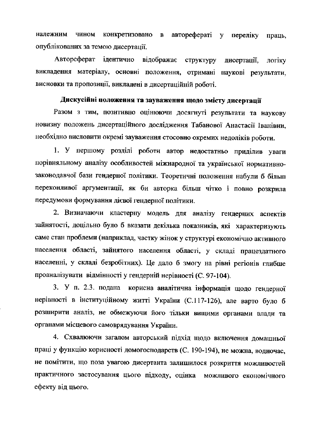чином конкретизовано в авторефераті у належним переліку праць, опублікованих за темою дисертації.

Автореферат ідентично відображає структуру дисертації, логіку викладення матеріалу, основні положення, отримані наукові результати, висновки та пропозиції, викладені в дисертаційній роботі.

### Дискусійні положення та зауваження щодо змісту дисертації

Разом з тим, позитивно оцінюючи досягнуті результати та наукову новизну положень дисертаційного дослідження Табанової Анастасії Іванівни, необхідно висловити окремі зауваження стосовно окремих недоліків роботи.

1. У першому розділі роботи автор недостатньо приділив уваги порівняльному аналізу особливостей міжнародної та української нормативнозаконодавчої бази гендерної політики. Теоретичні положення набули б більш переконливої аргументації, як би авторка більш чітко і повно розкрила передумови формування дієвої гендерної політики.

2. Визначаючи кластерну модель для аналізу гендерних аспектів зайнятості, доцільно було б вказати декілька показників, які характеризують саме стан проблеми (наприклад, частку жінок у структурі економічно активного населення області, зайнятого населення області, у складі працездатного населенні, у складі безробітних). Це дало б змогу на рівні регіонів глибше проаналізувати відмінності у гендерній нерівності (С. 97-104).

3. У п. 2.3. подана корисна аналітична інформація щодо гендерної нерівності в інституційному житті України (С.117-126), але варто було б розширити аналіз, не обмежуючи його тільки вищими органами влади та органами місцевого самоврядування України.

4. Схвалюючи загалом авторський підхід щодо включення домашньої праці у функцію корисності домогосподарств (С. 190-194), не можна, водночас, не помітити, що поза увагою дисертанта залишилося розкриття можливостей практичного застосування цього підходу, оцінка можливого економічного ефекту від цього.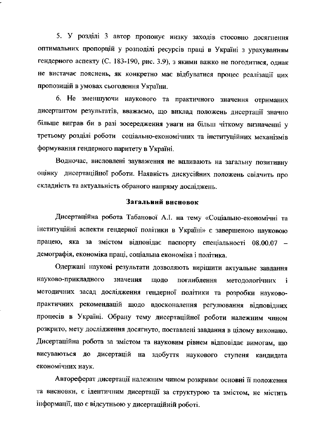5. У розділі 3 автор пропонує низку заходів стосовно досягнення оптимальних пропорцій у розподілі ресурсів праці в Україні з урахуванням гендерного аспекту (С. 183-190, рис. 3.9), з якими важко не погодитися, однак не вистачає пояснень, як конкретно має відбуватися процес реалізації цих пропозицій в умовах сьогодення України.

6. Не зменшуючи наукового та практичного значення отриманих дисертантом результатів, вважаємо, що виклад положень дисертації значно більше виграв би в разі зосередження уваги на більш чіткому визначенні у третьому розділі роботи соціально-економічних та інституційних механізмів формування гендерного паритету в Україні.

Водночас, висловлені зауваження не впливають на загальну позитивну оцінку дисертаційної роботи. Наявність дискусійних положень свідчить про складність та актуальність обраного напряму досліджень.

### Загальний висновок

Дисертаційна робота Табанової А.І. на тему «Соціально-економічні та інституційні аспекти гендерної політики в Україні» є завершеною науковою працею, яка за змістом відповідає паспорту спеціальності 08.00.07 демографія, економіка праці, соціальна економіка і політика.

Одержані наукові результати дозволяють вирішити актуальне завдання науково-прикладного значення поглиблення ШОЛО методологічних i методичних засад дослідження гендерної політики та розробки науковопрактичних рекомендацій щодо вдосконалення регулювання відповідних процесів в Україні. Обрану тему дисертаційної роботи належним чином розкрито, мету дослідження досягнуто, поставлені завдання в цілому виконано. Дисертаційна робота за змістом та науковим рівнем відповідає вимогам, що висуваються до дисертацій на здобуття наукового ступеня кандидата економічних наук.

Автореферат дисертації належним чином розкриває основні її положення та висновки, є ідентичним дисертації за структурою та змістом, не містить інформації, що є відсутньою у дисертаційній роботі.